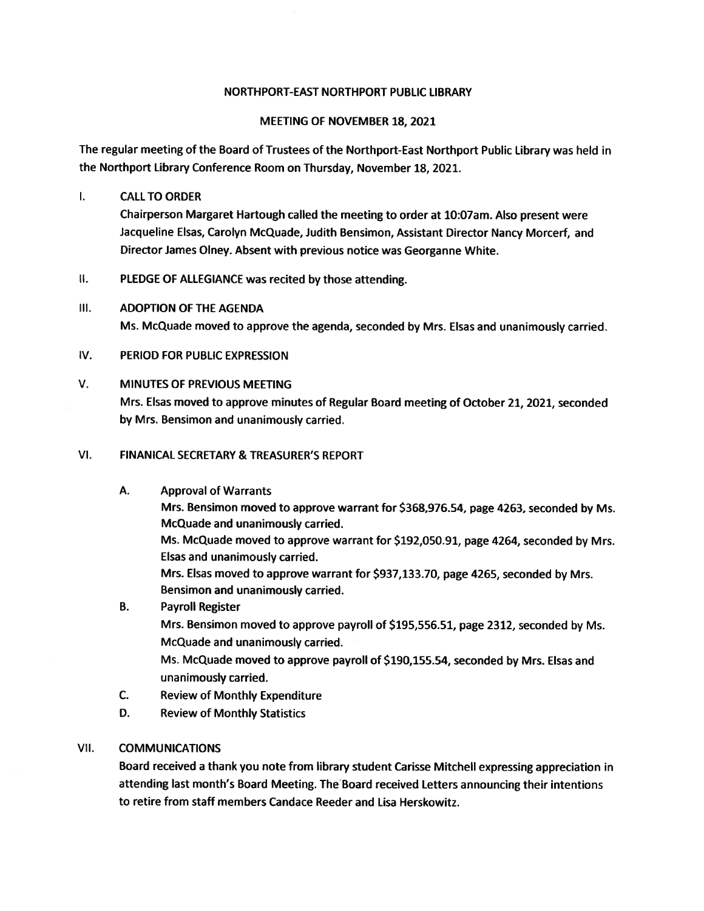#### NORTHPORT-EAST NORTHPORT PUBLIC LIBRARY

#### MEETING OF NOVEMBER 18, 2021

The regular meeting of the Board of Trustees of the Northport-East Northport Public Library was held in the Northport Library Conference Room on Thursday, November 18, 2021.

#### I. CALLTO ORDER

Chairperson Margaret Hartough called the meeting to order at 10:07am. Also presen<sup>t</sup> were Jacqueline Elsas, Carolyn McQuade, Judith Bensimon, Assistant Director Nancy Morcerf, and Director James Olney. Absent with previous notice was Georganne White.

II. PLEDGE OF ALLEGIANCE was recited by those attending.

#### Ill. ADOPTION OF THE AGENDA

Ms. McQuade moved to approve the agenda, seconded by Mrs. Elsas and unanimously carried.

#### IV. PERIOD FOR PUBLIC EXPRESSION

#### V. MINUTES OF PREVIOUS MEETING

Mrs. Elsas moved to approve minutes of Regular Board meeting of October 21, 2021, seconded by Mrs. Bensimon and unanimously carried.

#### VI. FINANICAL SECRETARY & TREASURER'S REPORT

- A. Approval of Warrants Mrs. Bensimon moved to approve warrant for \$368,976.54, page 4263, seconded by Ms. McQuade and unanimously carried. Ms. McQuade moved to approve warrant for \$192,050.91, page 4264, seconded by Mrs. Elsas and unanimously carried. Mrs. Elsas moved to approve warrant for \$937,133.70, page 4265, seconded by Mrs. Bensimon and unanimously carried. B. Payroll Register
	- Mrs. Bensimon moved to approve payroll of \$195,556.51, page 2312, seconded by Ms. McQuade and unanimously carried. Ms. McQuade moved to approve payroll of \$190,155.54, seconded by Mrs. Elsas and unanimously carried.
- C. Review of Monthly Expenditure
- D. Review of Monthly Statistics

#### VII. COMMUNICATIONS

Board received <sup>a</sup> thank you note from library student Carisse Mitchell expressing appreciation in attending last month's Board Meeting. The Board received Letters announcing their intentions to retire from staff members Candace Reeder and Lisa Herskowitz.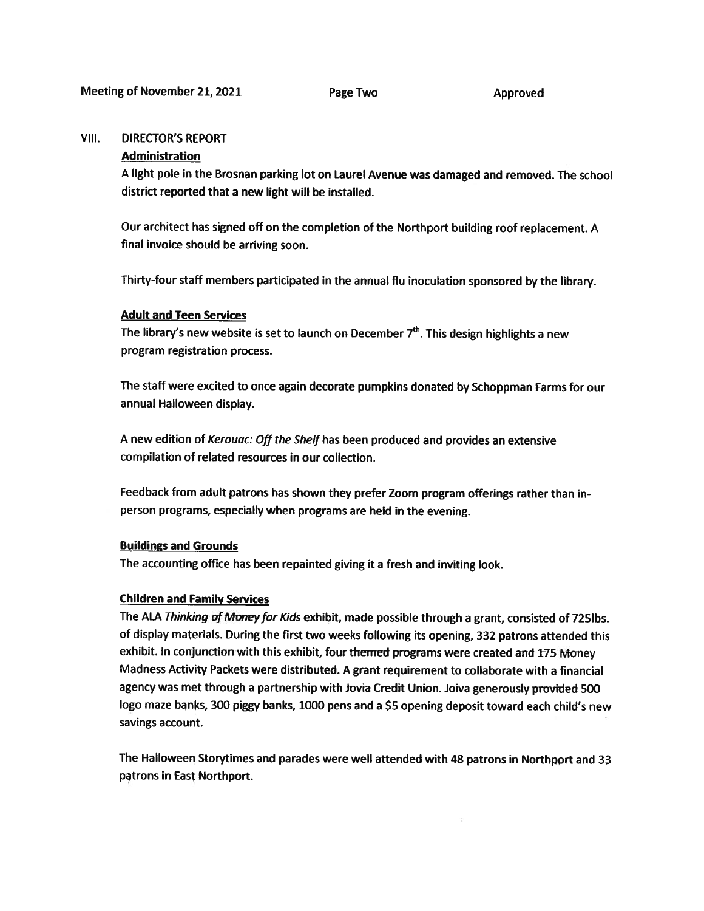#### VHI. DIRECTOR'S REPORT

#### Administration

<sup>A</sup> light pole in the Brosnan parking lot on Laurel Avenue was damaged and removed. The school district reported that <sup>a</sup> new light will be installed.

Our architect has signed off on the completion of the Northport building roof replacement. <sup>A</sup> final invoice should be arriving soon.

Thirty-four staff members participated in the annual flu inoculation sponsore<sup>d</sup> by the library.

#### Adult and Teen Services

The library's new website is set to launch on December  $7<sup>th</sup>$ . This design highlights a new program registration process.

The staff were excited to once again decorate pumpkins donated by Schoppman Farms for our annual Halloween display.

<sup>A</sup> new edition of Kerouac: Off the Shelf has been produced and provides an extensive compilation of related resources in our collection.

Feedback from adult patrons has shown they prefer Zoom program offerings rather than inperson programs, especially when programs are held in the evening.

#### Buildings and Grounds

The accounting office has been repainted <sup>g</sup>iving it <sup>a</sup> fresh and inviting look.

#### Children and Family Services

The ALA Thinking of Money for Kids exhibit, made possible through a grant, consisted of 725lbs. of display materials. During the first two weeks following its opening, <sup>332</sup> patrons attended this exhibit. In conjunction with this exhibit, four themed programs were created and <sup>175</sup> Money Madness Activity Packets were distributed. <sup>A</sup> gran<sup>t</sup> requirement to collaborate with <sup>a</sup> financial agency was met through a partnership with Jovia Credit Union. Joiva generously provided 500 logo maze banks, <sup>300</sup> <sup>p</sup>iggy banks, <sup>1000</sup> pens and <sup>a</sup> \$5 opening deposit toward each child's new savings account.

The Halloween Storytimes and parades were well attended with <sup>48</sup> patrons in Northport and <sup>33</sup> patrons in East Northport.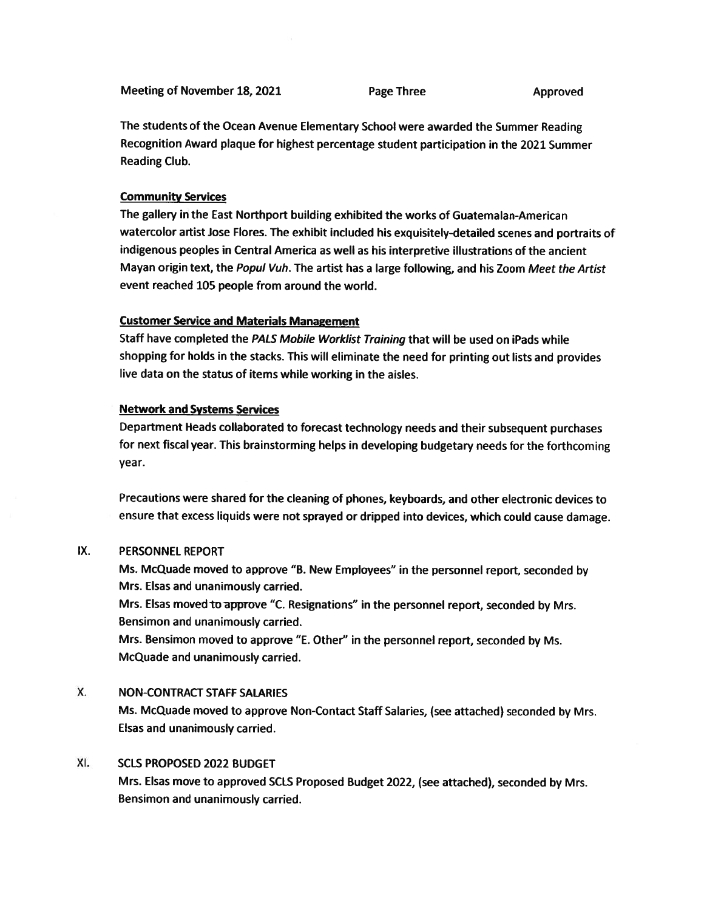Meeting of November 18, 2021 Page Three Approved

The students of the Ocean Avenue Elementary School were awarded the Summer Reading Recognition Award <sup>p</sup>laque for highest percentage student participation in the 2021 Summer Reading Club.

#### Community Services

The gallery in the East Northport building exhibited the works of Guatemalan-American watercolor artist Jose Flores. The exhibit included his exquisitely-detailed scenes and portraits of indigenous peoples in Central America as well as his interpretive illustrations of the ancient Mayan origin text, the Popul Vuh. The artist has a large following, and his Zoom Meet the Artist event reached 105 people from around the world.

#### Customer Service and Materials Management

Staff have completed the PALS Mobile Worklist Training that will be used on iPads while shopping for holds in the stacks. This will eliminate the need for printing out lists and provides live data on the status of items while working in the aisles.

#### Network and Systems Services

Department Heads collaborated to forecast technology needs and their subsequent purchases for next fiscal year. This brainstorming helps in developing budgetary needs for the forthcoming year.

Precautions were shared for the cleaning of <sup>p</sup>hones, keyboards, and other electronic devices to ensure that excess liquids were not spraye<sup>d</sup> or dripped into devices, which could cause damage.

#### IX. PERSONNEL REPORT

Ms. McQuade moved to approve "B. New Employees" in the personne<sup>l</sup> report, seconded by Mrs. Elsas and unanimously carried.

Mrs. Elsas moved to approve "C. Resignations" in the personnel report, seconded by Mrs. Bensimon and unanimously carried.

Mrs. Bensimon moved to approve "E. Other" in the personne<sup>l</sup> report, seconded by Ms. McQuade and unanimously carried.

#### X. NON-CONTRACT STAFF SALARIES

Ms. McQuade moved to approve Non-Contact Staff Salaries, (see attached) seconded by Mrs. Elsas and unanimously carried.

#### XI. SCLS PROPOSED 2022 BUDGET

Mrs. Elsas move to approve<sup>d</sup> SCLS Proposed Budget 2022, (see attached), seconded by Mrs. Bensimon and unanimously carried.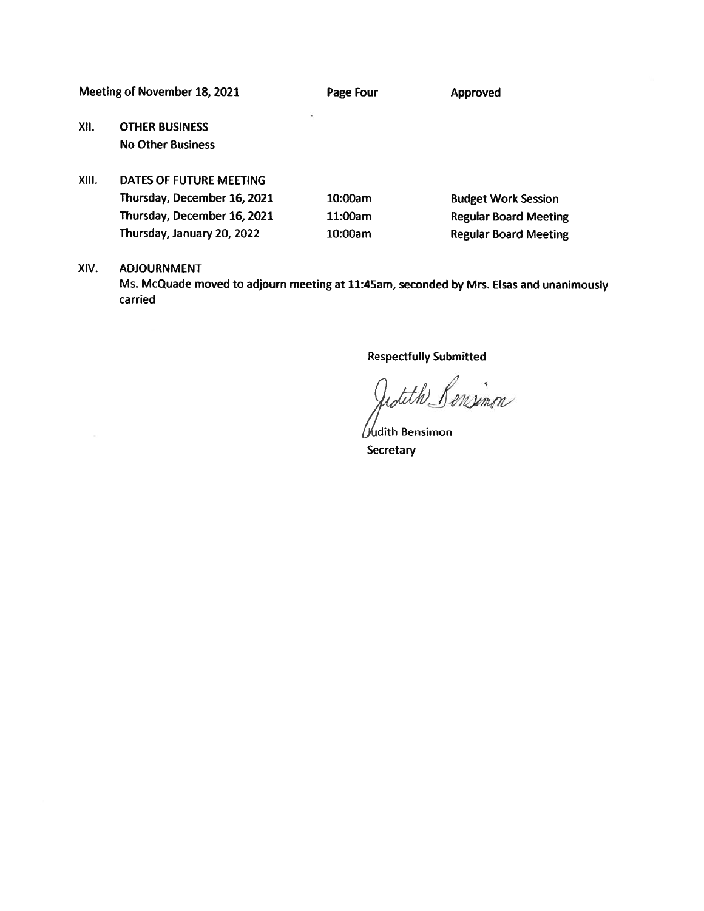Meeting of November 18, 2021 Page Four Proved

XII. OTHER BUSINESS No Other Business

# XIII. DATES OF FUTURE MEETING Thursday, December 16, 2021 10:00am Budget Work Session Thursday, December 16, 2021 11:00am Regular Board Meeting

Thursday, January 20, <sup>2022</sup> 10:00am Regular Board Meeting

#### XIV. ADJOURNMENT

Ms. McQuade moved to adjourn meeting at 11:45am, seconded by Mrs. Elsas and unanimously carried

Respectfully Submitted

adith Pensimon

/Judith Bensimon **Secretary**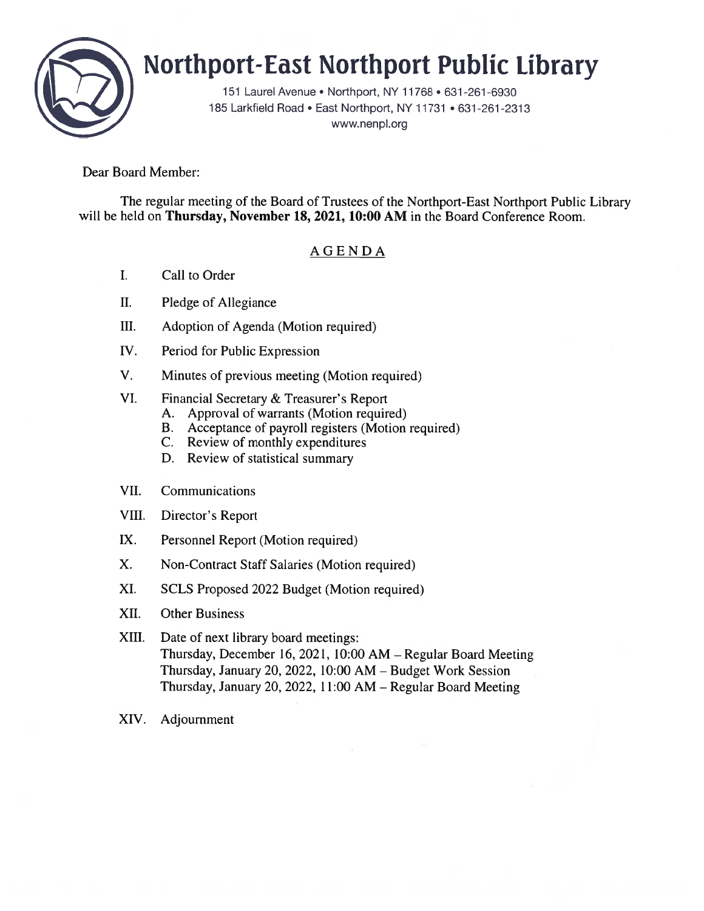

# Northport-East Northport Public library

151 Laurel Avenue • Northport, NY 11768 • 631 -261 -6930 185 Larkfield Road • East Northport, NY 11731 • 631-261-2313 www.nenpl.org

Dear Board Member:

The regular meeting of the Board of Trustees of the Northport-East Northport Public Library will be held on Thursday, November 18, 2021, 10:00 AM in the Board Conference Room.

## AGENDA

- I. Call to Order
- II. Pledge of Allegiance
- III. Adoption of Agenda (Motion required)
- IV. Period for Public Expression
- V. Minutes of previous meeting (Motion required)
- VI. Financial Secretary & Treasurer's Report
	- A. Approval of warrants (Motion required)
	- B. Acceptance of payroll registers (Motion required)
	- C. Review of monthly expenditures
	- D. Review of statistical summary
- VII. Communications
- VIII. Director's Report
- IX. Personnel Report (Motion required)
- X. Non-Contract Staff Salaries (Motion required)
- XI. SCLS Proposed 2022 Budget (Motion required)
- XII. Other Business
- XIII. Date of next library board meetings: Thursday, December 16, 2021, 10:00 AM — Regular Board Meeting Thursday, January 20, 2022, 10:00 AM — Budget Work Session Thursday, January 20, 2022, 11:00 AM — Regular Board Meeting
- XIV. Adjournment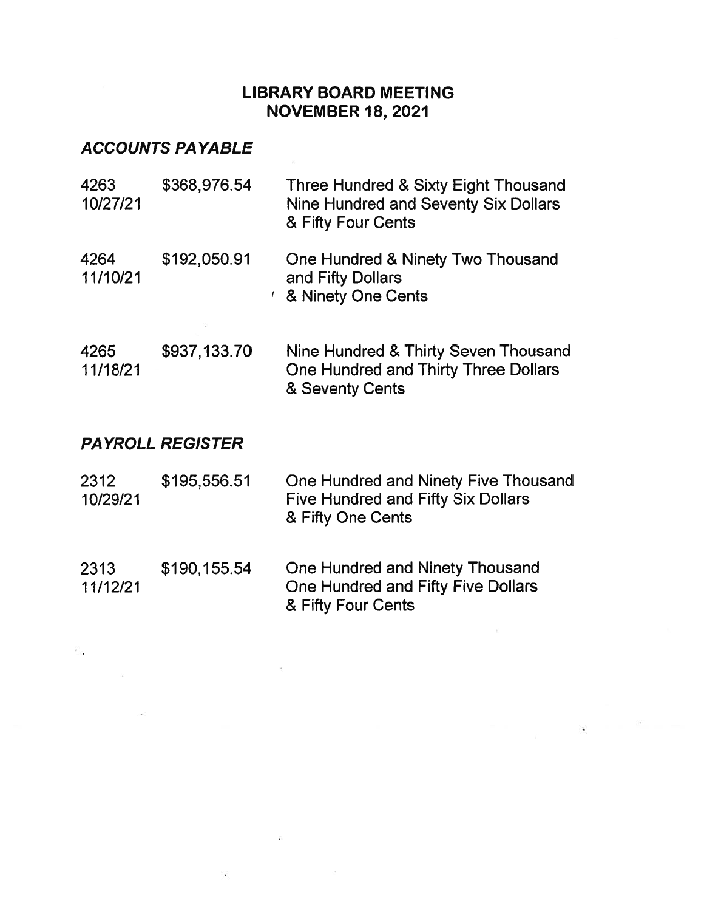# LIBRARY BOARD MEETING NOVEMBER 18, 2021

# ACCOUNTS PAYABLE

| 4263<br>10/27/21 | \$368,976.54      | Three Hundred & Sixty Eight Thousand<br>Nine Hundred and Seventy Six Dollars<br>& Fifty Four Cents |
|------------------|-------------------|----------------------------------------------------------------------------------------------------|
| 4264<br>11/10/21 | \$192,050.91<br>ı | One Hundred & Ninety Two Thousand<br>and Fifty Dollars<br>& Ninety One Cents                       |
| 4265<br>11/18/21 | \$937,133.70      | Nine Hundred & Thirty Seven Thousand<br>One Hundred and Thirty Three Dollars<br>& Seventy Cents    |

 $-46$ 

# PAYROLL REGISTER

 $\sim 0.05$ 

| 2312     | \$195,556.51 | One Hundred and Ninety Five Thousand |
|----------|--------------|--------------------------------------|
| 10/29/21 |              | Five Hundred and Fifty Six Dollars   |
|          |              | & Fifty One Cents                    |

2313 \$190,155.54 One Hundred and Ninety Thousand 11/12/21 One Hundred and Fifty Five Dollars & Fifty Four Cents

 $\geq 0$ 

 $\mathcal{L}^{\mathcal{L}}_{\mathcal{L}}$  .

 $\mathcal{L}_{\text{max}}$ 

 $\mathcal{L}$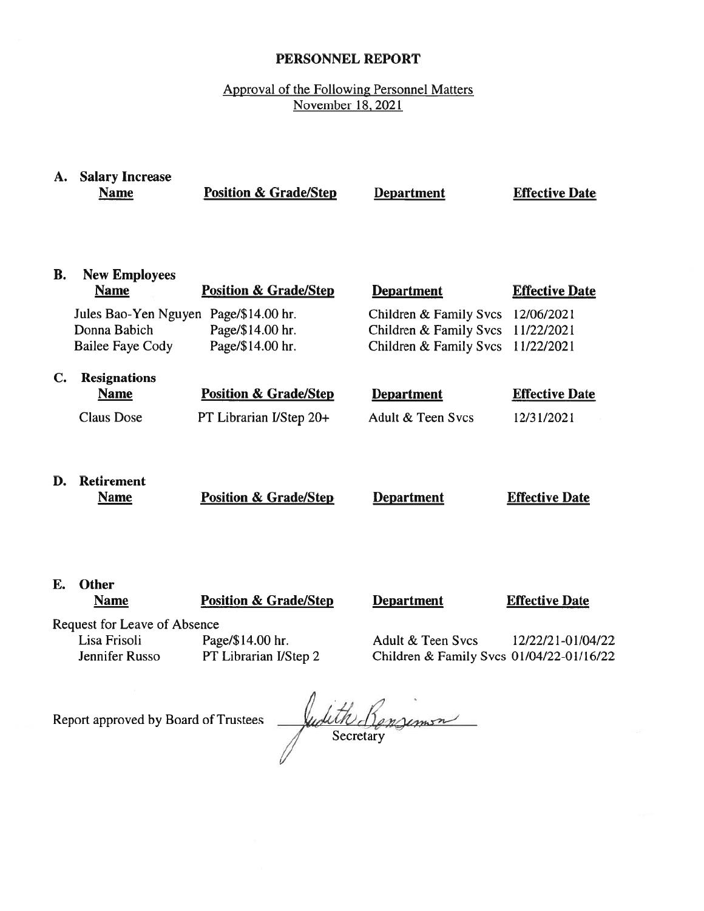#### PERSONNEL REPORT

#### Approval of the Following Personnel Matters November 18, 2021

| A.        | <b>Salary Increase</b><br><b>Name</b>                           | <b>Position &amp; Grade/Step</b>                            | <b>Department</b>                                                          | <b>Effective Date</b>                  |
|-----------|-----------------------------------------------------------------|-------------------------------------------------------------|----------------------------------------------------------------------------|----------------------------------------|
| <b>B.</b> | <b>New Employees</b><br><b>Name</b>                             | <b>Position &amp; Grade/Step</b>                            | <b>Department</b>                                                          | <b>Effective Date</b>                  |
|           | Jules Bao-Yen Nguyen<br>Donna Babich<br><b>Bailee Faye Cody</b> | Page/\$14.00 hr.<br>Page/\$14.00 hr.<br>Page/\$14.00 hr.    | Children & Family Svcs<br>Children & Family Svcs<br>Children & Family Svcs | 12/06/2021<br>11/22/2021<br>11/22/2021 |
| C.        | <b>Resignations</b><br><b>Name</b><br><b>Claus Dose</b>         | <b>Position &amp; Grade/Step</b><br>PT Librarian I/Step 20+ | <b>Department</b><br>Adult & Teen Svcs                                     | <b>Effective Date</b><br>12/31/2021    |
| D.        | <b>Retirement</b><br><b>Name</b>                                | <b>Position &amp; Grade/Step</b>                            | <b>Department</b>                                                          | <b>Effective Date</b>                  |
| E.        | <b>Other</b><br><b>Name</b>                                     | <b>Position &amp; Grade/Step</b>                            | <b>Department</b>                                                          | <b>Effective Date</b>                  |
|           | Request for Leave of Absence                                    |                                                             |                                                                            |                                        |
|           | Lisa Frisoli                                                    | Page/\$14.00 hr.                                            | Adult & Teen Svcs                                                          | 12/22/21-01/04/22                      |

Jennifer Russo PT Librarian IJStep 2 Children & Family Svcs 0 1/04/22-01/16/22

Report approved by Board of Trustees

 $\left| \begin{array}{cc} \cdot & \cdot & \cdot \\ \cdot & \cdot & \cdot \end{array} \right|$ Secretary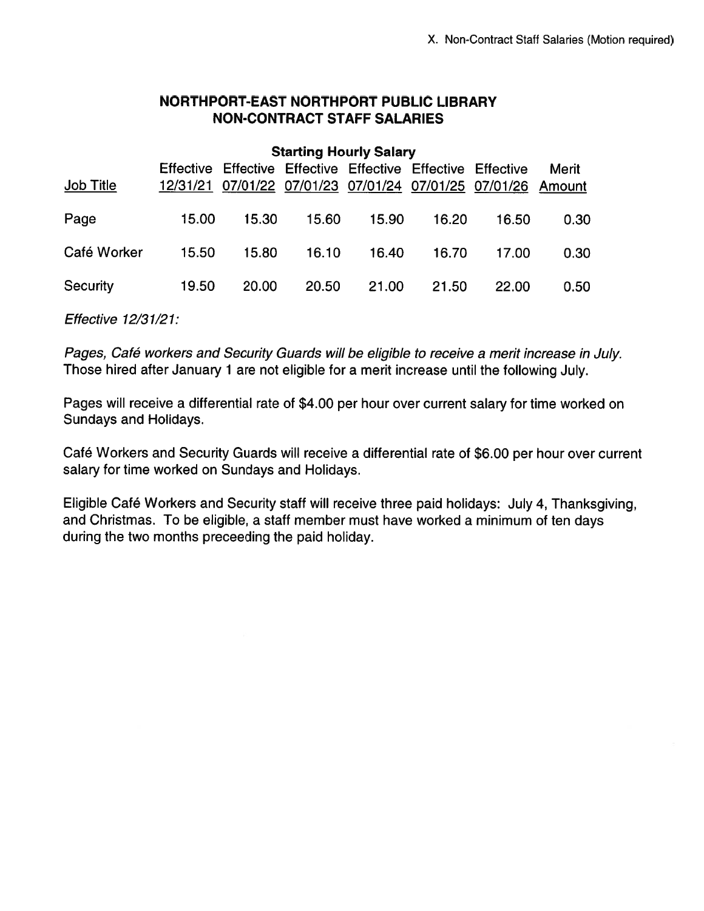## NORTHPORT-EAST NORTHPORT PUBLIC LIBRARY NON-CONTRACT STAFF SALARIES

| <b>Job Title</b> |       | Effective Effective Effective Effective Effective Effective |       |              |       | 12/31/21 07/01/22 07/01/23 07/01/24 07/01/25 07/01/26 Amount | Merit |
|------------------|-------|-------------------------------------------------------------|-------|--------------|-------|--------------------------------------------------------------|-------|
| Page             | 15.00 | 15.30                                                       |       | 15.60  15.90 | 16.20 | 16.50                                                        | 0.30  |
| Café Worker      | 15.50 | 15.80                                                       | 16.10 | 16.40        | 16.70 | 17.00                                                        | 0.30  |
| Security         | 19.50 | 20.00                                                       | 20.50 | 21.00        | 21.50 | 22.00                                                        | 0.50  |

Effective 12/31/21:

Pages, Café workers and Security Guards will be eligible to receive <sup>a</sup> merit increase in July. Those hired after January <sup>1</sup> are not eligible for <sup>a</sup> merit increase until the following July.

Pages will receive <sup>a</sup> differential rate of \$4.00 per hour over current salary for time worked on Sundays and Holidays.

Café Workers and Security Guards will receive <sup>a</sup> differential rate of \$6.00 per hour over current salary for time worked on Sundays and Holidays.

Eligible Café Workers and Security staff will receive three paid holidays: July 4, Thanksgiving, and Christmas. To be eligible, <sup>a</sup> staff member must have worked <sup>a</sup> minimum of ten days during the two months preceeding the paid holiday.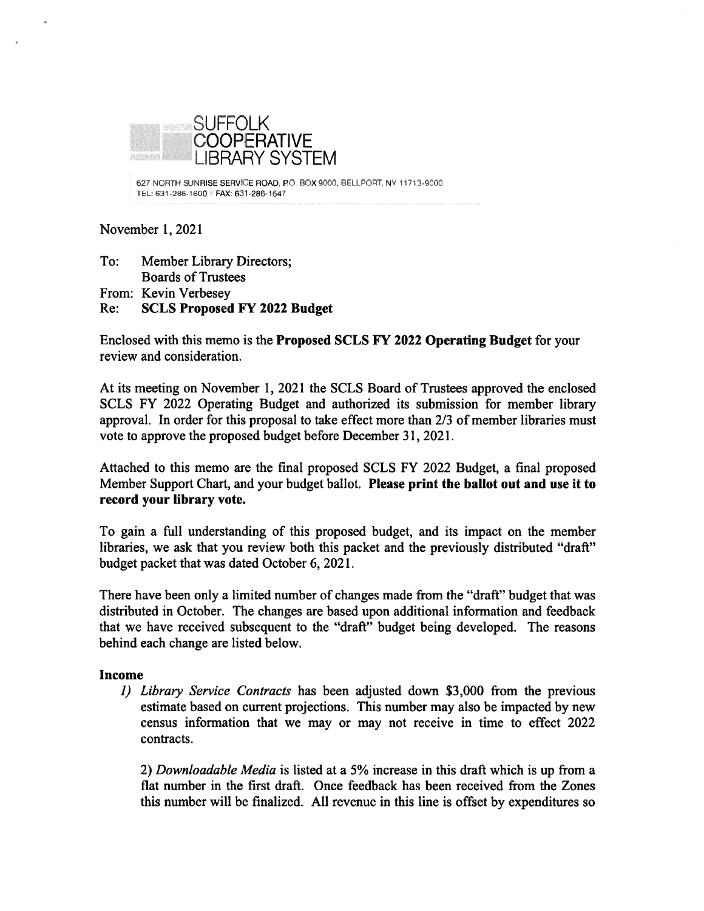

627 NORTH SUNRISE SERVICE ROAD, P0. BOX 9000, BELLPORT, NY 11713-9000 TEL: 631-286-1600 FAX: 631-286-1647

#### November 1,2021

To: Member Library Directors; Boards of Trustees From: Kevin Verbesey Re: SCLS Proposed FY 2022 Budget

Enclosed with this memo is the Proposed SCLS FY 2022 Operating Budget for your review and consideration.

At its meeting on November 1, 2021 the SCLS Board of Trustees approved the enclosed SCLS FY 2022 Operating Budget and authorized its submission for member library approval. In order for this proposal to take effect more than 2/3 of member libraries must vote to approve the proposed budget before December 31, 2021.

Attached to this memo are the final proposed SCLS FY 2022 Budget, <sup>a</sup> final proposed Member Support Chart, and your budget ballot. Please print the ballot out and use it to record your library vote.

To gain <sup>a</sup> full understanding of this proposed budget, and its impact on the member libraries, we ask that you review both this packet and the previously distributed "draft" budget packet that was dated October 6, 2021.

There have been only <sup>a</sup> limited number of changes made from the "draft" budget that was distributed in October. The changes are based upon additional information and feedback that we have received subsequent to the "draft" budget being developed. The reasons behind each change are listed below.

#### Income

1) Library Service Contracts has been adjusted down \$3,000 from the previous estimate based on current projections. This number may also be impacted by new census information that we may or may not receive in time to effect 2022 contracts.

2) Downloadable Media is listed at <sup>a</sup> 5% increase in this draft which is up from <sup>a</sup> flat number in the first draft. Once feedback has been received from the Zones this number will be finalized. All revenue in this line is offset by expenditures so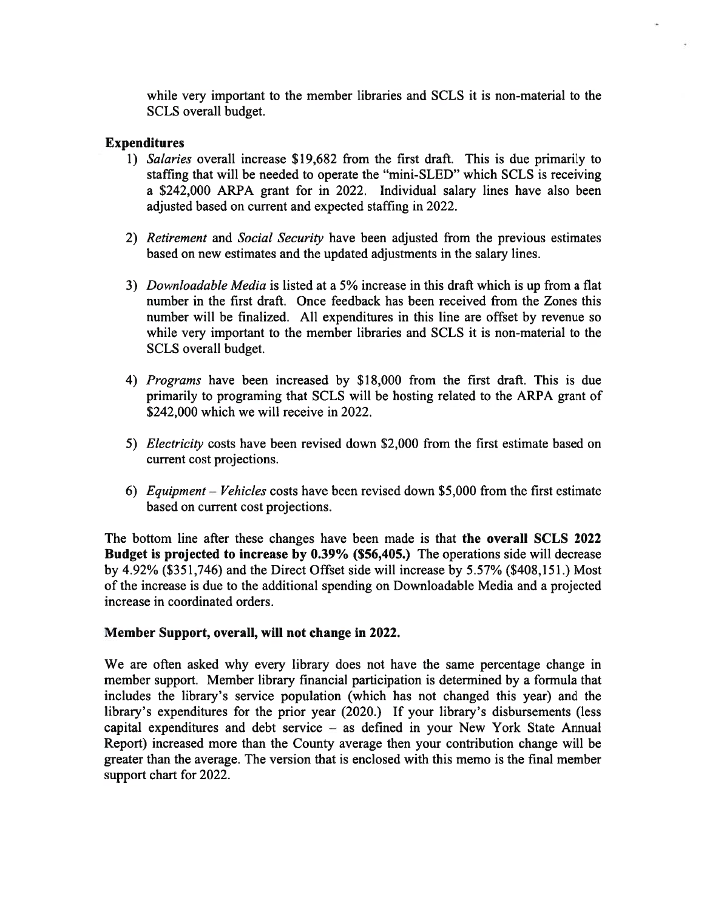while very important to the member libraries and SCLS it is non-material to the SCLS overall budget.

#### Expenditures

- 1) Salaries overall increase \$19,682 from the first draft. This is due primarily to staffing that will be needed to operate the "mini-SLED" which SCLS is receiving a \$242,000 ARPA gran<sup>t</sup> for in 2022. Individual salary lines have also been adjusted based on current and expected staffing in 2022.
- 2) Retirement and Social Security have been adjusted from the previous estimates based on new estimates and the updated adjustments in the salary lines.
- 3) Downloadable Media is listed at <sup>a</sup> 5% increase in this draft which is up from <sup>a</sup> flat number in the first draft. Once feedback has been received from the Zones this number will be finalized. All expenditures in this line are offset by revenue so while very important to the member libraries and SCLS it is non-material to the SCLS overall budget.
- 4) Programs have been increased by \$18,000 from the first draft. This is due primarily to programing that SCLS will be hosting related to the ARPA gran<sup>t</sup> of \$242,000 which we will receive in 2022.
- 5) Electricity costs have been revised down \$2,000 from the first estimate based on current cost projections.
- 6) Equipment Vehicles costs have been revised down \$5,000 from the first estimate based on current cost projections.

The bottom line after these changes have been made is that the overall SCLS 2022 Budget is projected to increase by 0.39% (\$56,405.) The operations side will decrease by 4.92% (\$351,746) and the Direct Offset side will increase by 5.57% (\$408,151.) Most of the increase is due to the additional spending on Downloadable Media and <sup>a</sup> projected increase in coordinated orders.

#### Member Support, overall, will not change in 2022.

We are often asked why every library does not have the same percentage change in member support. Member library financial participation is determined by <sup>a</sup> formula that includes the library's service population (which has not changed this year) and the library's expenditures for the prior year (2020.) If your library's disbursements (less capital expenditures and debt service — as defined in your New York State Annual Report) increased more than the County average then your contribution change will be greater than the average. The version that is enclosed with this memo is the final member suppor<sup>t</sup> chart for 2022.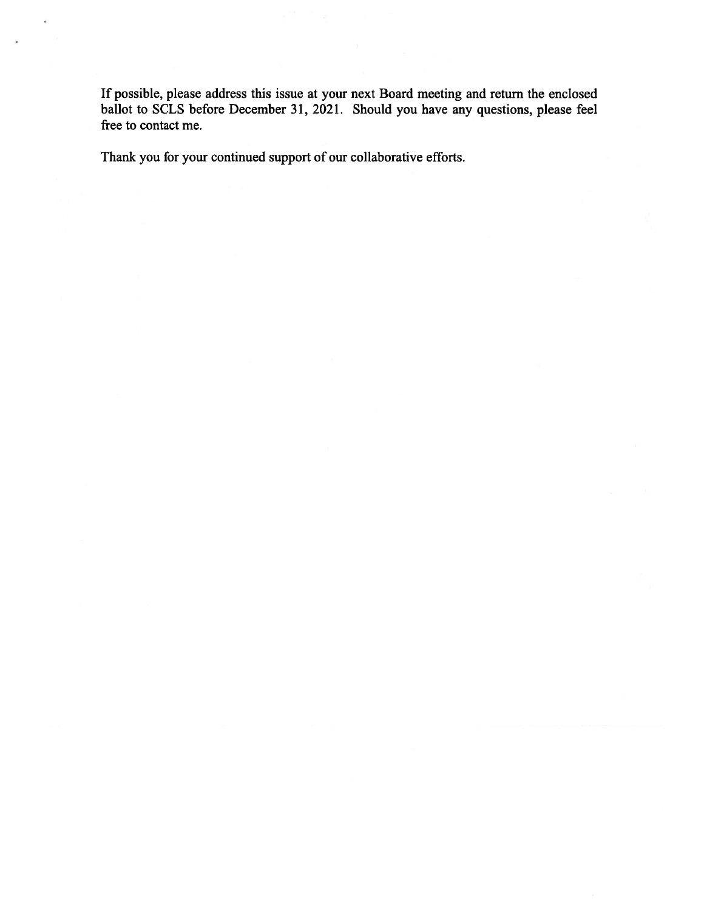If possible, please address this issue at your next Board meeting and return the enclosed ballot to SCLS before December 31, 2021. Should you have any questions, please feel free to contact me.

Thank you for your continued suppor<sup>t</sup> of our collaborative efforts.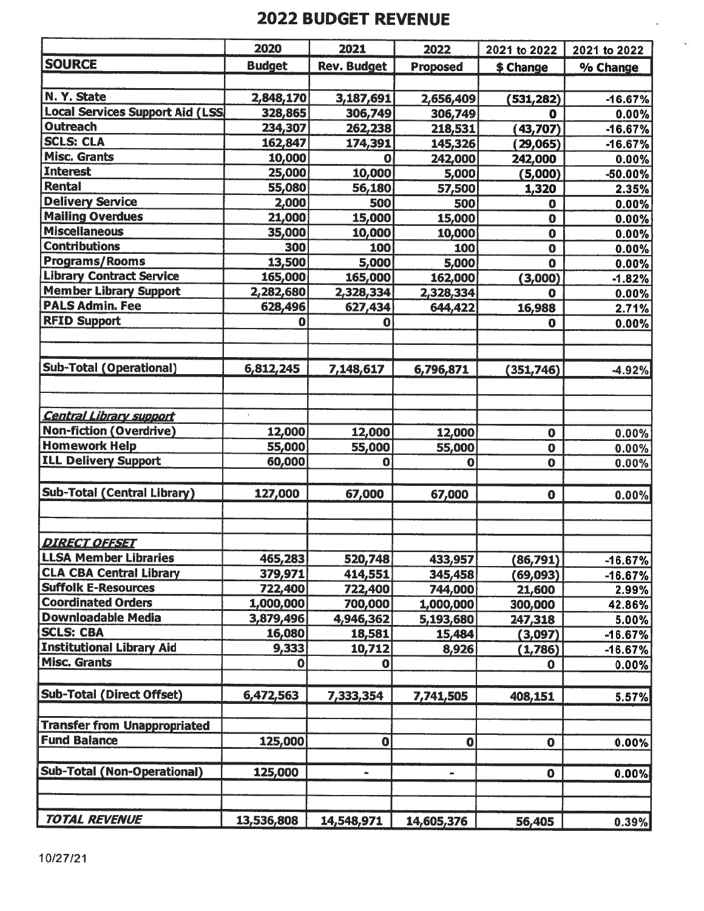# 2022 BUDGET REVENUE

|                                         | 2020          | 2021               | 2022            | 2021 to 2022 | 2021 to 2022 |
|-----------------------------------------|---------------|--------------------|-----------------|--------------|--------------|
| <b>SOURCE</b>                           | <b>Budget</b> | <b>Rev. Budget</b> | <b>Proposed</b> | \$ Change    | % Change     |
|                                         |               |                    |                 |              |              |
| N. Y. State                             | 2,848,170     | 3,187,691          | 2,656,409       | (531, 282)   | $-16.67%$    |
| <b>Local Services Support Aid (LSS)</b> | 328,865       | 306,749            | 306,749         | $\mathbf 0$  | 0.00%        |
| <b>Outreach</b>                         | 234,307       | 262,238            | 218,531         | (43, 707)    | $-16.67%$    |
| <b>SCLS: CLA</b>                        | 162,847       | 174,391            | 145,326         | (29, 065)    | $-16.67%$    |
| <b>Misc. Grants</b>                     | 10,000        | 0                  | 242,000         | 242,000      | 0.00%        |
| <b>Interest</b>                         | 25,000        | 10,000             | 5,000           | (5,000)      | -50.00%      |
| Rental                                  | 55,080        | 56,180             | 57,500          | 1,320        | 2.35%        |
| <b>Delivery Service</b>                 | 2,000         | 500                | 500             | 0            | 0.00%        |
| <b>Mailing Overdues</b>                 | 21,000        | 15,000             | 15,000          | $\mathbf 0$  | 0.00%        |
| <b>Miscellaneous</b>                    | 35,000        | 10,000             | 10,000          | $\bf{0}$     | 0.00%        |
| <b>Contributions</b>                    | 300           | 100                | 100             | $\mathbf 0$  | $0.00\%$     |
| <b>Programs/Rooms</b>                   | 13,500        | 5,000              | 5,000           | $\mathbf 0$  | $0.00\%$     |
| <b>Library Contract Service</b>         | 165,000       | 165,000            | 162,000         | (3,000)      | $-1.82%$     |
| <b>Member Library Support</b>           | 2,282,680     | 2,328,334          | 2,328,334       | O            | 0.00%        |
| <b>PALS Admin. Fee</b>                  | 628,496       | 627,434            | 644,422         | 16,988       | 2.71%        |
| <b>RFID Support</b>                     | o             | 0                  |                 | $\mathbf 0$  | 0.00%        |
|                                         |               |                    |                 |              |              |
|                                         |               |                    |                 |              |              |
| Sub-Total (Operational)                 | 6,812,245     | 7,148,617          | 6,796,871       | (351, 746)   | -4.92%       |
|                                         |               |                    |                 |              |              |
|                                         |               |                    |                 |              |              |
| <b>Central Library support</b>          | ¥.            |                    |                 |              |              |
| <b>Non-fiction (Overdrive)</b>          | 12,000        | 12,000             | 12,000          | $\bf{0}$     | 0.00%        |
| <b>Homework Help</b>                    | 55,000        | 55,000             | 55,000          | $\mathbf 0$  | 0.00%        |
| <b>ILL Delivery Support</b>             | 60,000        | $\mathbf 0$        | 0               | $\mathbf 0$  | 0.00%        |
|                                         |               |                    |                 |              |              |
| <b>Sub-Total (Central Library)</b>      | 127,000       | 67,000             | 67,000          | $\mathbf 0$  | 0.00%        |
|                                         |               |                    |                 |              |              |
|                                         |               |                    |                 |              |              |
| <b>DIRECT OFFSET</b>                    |               |                    |                 |              |              |
| <b>LLSA Member Libraries</b>            | 465,283       | 520,748            | 433,957         | (86,791)     | $-16.67%$    |
| <b>CLA CBA Central Library</b>          | 379,971       | 414,551            | 345,458         | (69, 093)    | $-16.67%$    |
| <b>Suffolk E-Resources</b>              | 722,400       | 722,400            | 744,000         | 21,600       | 2.99%        |
| <b>Coordinated Orders</b>               | 1,000,000     | 700,000            | 1,000,000       | 300,000      | 42.86%       |
| Downloadable Media                      | 3,879,496     | 4,946,362          | 5,193,680       | 247,318      | 5.00%        |
| <b>SCLS: CBA</b>                        | 16,080        | 18,581             | 15,484          | (3,097)      | $-16.67%$    |
| <b>Institutional Library Aid</b>        | 9,333         | 10,712             | 8,926           | (1,786)      | $-16.67%$    |
| <b>Misc. Grants</b>                     | 0             | $\mathbf{O}$       |                 | $\mathbf 0$  | $0.00\%$     |
|                                         |               |                    |                 |              |              |
| <b>Sub-Total (Direct Offset)</b>        | 6,472,563     | 7,333,354          | 7,741,505       | 408,151      | 5.57%        |
|                                         |               |                    |                 |              |              |
| <b>Transfer from Unappropriated</b>     |               |                    |                 |              |              |
| <b>Fund Balance</b>                     | 125,000       | $\mathbf 0$        | $\mathbf 0$     | $\mathbf 0$  | 0.00%        |
|                                         |               |                    |                 |              |              |
| <b>Sub-Total (Non-Operational)</b>      | 125,000       | ۰                  | $\blacksquare$  | $\mathbf 0$  | 0.00%        |
|                                         |               |                    |                 |              |              |
|                                         |               |                    |                 |              |              |
| <b>TOTAL REVENUE</b>                    |               |                    |                 |              |              |
|                                         | 13,536,808    | 14,548,971         | 14,605,376      | 56,405       | 0.39%        |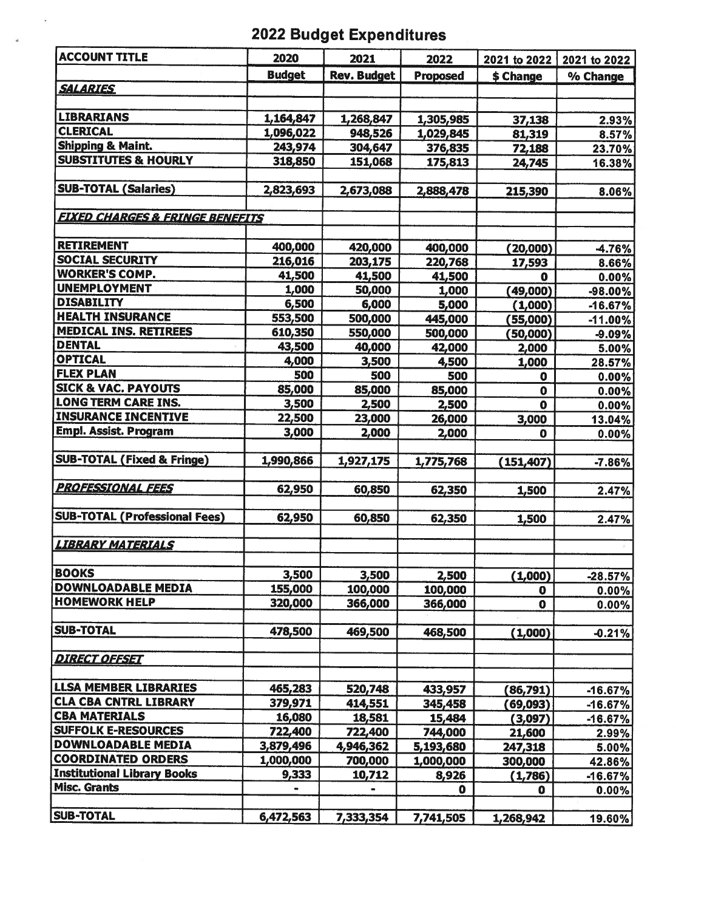# 2022 Budget Expenditures

 $\omega$ 

| <b>ACCOUNT TITLE</b>                          | 2020          | 2021               | 2022            | 2021 to 2022 | 2021 to 2022   |
|-----------------------------------------------|---------------|--------------------|-----------------|--------------|----------------|
|                                               | <b>Budget</b> | <b>Rev. Budget</b> | <b>Proposed</b> | \$ Change    | % Change       |
| <b>SALARIES</b>                               |               |                    |                 |              |                |
|                                               |               |                    |                 |              |                |
| <b>LIBRARIANS</b>                             | 1,164,847     | 1,268,847          | 1,305,985       | 37,138       | 2.93%          |
| <b>CLERICAL</b>                               | 1,096,022     | 948,526            | 1,029,845       | 81,319       | 8.57%          |
| <b>Shipping &amp; Maint.</b>                  | 243,974       | 304,647            | 376,835         | 72,188       | 23.70%         |
| <b>SUBSTITUTES &amp; HOURLY</b>               | 318,850       | 151,068            | 175,813         | 24,745       | 16.38%         |
|                                               |               |                    |                 |              |                |
| <b>SUB-TOTAL (Salaries)</b>                   | 2,823,693     | 2,673,088          | 2,888,478       | 215,390      | 8.06%          |
|                                               |               |                    |                 |              |                |
| <b>EIXED CHARGES &amp; FRINGE BENEFITS</b>    |               |                    |                 |              |                |
|                                               |               |                    |                 |              |                |
| <b>RETIREMENT</b>                             | 400,000       | 420,000            | 400,000         | (20,000)     | -4.76%         |
| <b>SOCIAL SECURITY</b>                        | 216,016       | 203,175            | 220,768         | 17,593       | 8.66%          |
| <b>WORKER'S COMP.</b>                         | 41,500        | 41,500             | 41,500          | 0            | 0.00%          |
| <b>UNEMPLOYMENT</b>                           | 1,000         | 50,000             | 1,000           | (49,000)     | $-98.00\%$     |
| <b>DISABILITY</b>                             | 6,500         | 6,000              | 5,000           | (1,000)      | $-16.67%$      |
| <b>HEALTH INSURANCE</b>                       | 553,500       | 500,000            | 445,000         | (55,000)     | $-11.00%$      |
| <b>MEDICAL INS. RETIREES</b><br><b>DENTAL</b> | 610,350       | 550,000            | 500,000         | (50,000)     | $-9.09%$       |
| <b>OPTICAL</b>                                | 43,500        | 40,000             | 42,000          | 2,000        | 5.00%          |
| <b>FLEX PLAN</b>                              | 4,000         | 3,500              | 4,500           | 1,000        | 28.57%         |
| <b>SICK &amp; VAC. PAYOUTS</b>                | 500           | 500                | 500             | $\mathbf 0$  | 0.00%          |
| <b>LONG TERM CARE INS.</b>                    | 85,000        | 85,000             | 85,000          | $\mathbf 0$  | $0.00\%$       |
| <b>INSURANCE INCENTIVE</b>                    | 3,500         | 2,500              | 2,500           | $\mathbf 0$  | $0.00\%$       |
| Empl. Assist. Program                         | 22,500        | 23,000             | 26,000          | 3,000        | 13.04%         |
|                                               | 3,000         | 2,000              | 2,000           | $\bullet$    | 0.00%          |
| <b>SUB-TOTAL (Fixed &amp; Fringe)</b>         | 1,990,866     | 1,927,175          | 1,775,768       | (151, 407)   | $-7.86%$       |
|                                               |               |                    |                 |              |                |
| <b>PROFESSIONAL FEES</b>                      | 62,950        | 60,850             | 62,350          | 1,500        | 2.47%          |
|                                               |               |                    |                 |              |                |
| <b>SUB-TOTAL (Professional Fees)</b>          | 62,950        | 60,850             | 62,350          | 1,500        | 2.47%          |
|                                               |               |                    |                 |              |                |
| <b>LIBRARY MATERIALS</b>                      |               |                    |                 |              |                |
| <b>BOOKS</b>                                  | 3,500         | 3,500              | 2,500           | (1,000)      |                |
| <b>DOWNLOADABLE MEDIA</b>                     | 155,000       | 100,000            | 100,000         | $\mathbf 0$  | $-28.57%$      |
| <b>HOMEWORK HELP</b>                          | 320,000       | 366,000            | 366,000         | $\mathbf 0$  | 0.00%<br>0.00% |
|                                               |               |                    |                 |              |                |
| <b>SUB-TOTAL</b>                              | 478,500       | 469,500            | 468,500         | (1,000)      | $-0.21%$       |
|                                               |               |                    |                 |              |                |
| <b>DIRECT OFFSET</b>                          |               |                    |                 |              |                |
|                                               |               |                    |                 |              |                |
| <b>LLSA MEMBER LIBRARIES</b>                  | 465,283       | 520,748            | 433,957         | (86,791)     | $-16.67%$      |
| <b>CLA CBA CNTRL LIBRARY</b>                  | 379,971       | 414,551            | 345,458         | (69, 093)    | $-16.67%$      |
| <b>CBA MATERIALS</b>                          | 16,080        | 18,581             | 15,484          | (3,097)      | $-16.67%$      |
| <b>SUFFOLK E-RESOURCES</b>                    | 722,400       | 722,400            | 744,000         | 21,600       | 2.99%          |
| <b>DOWNLOADABLE MEDIA</b>                     | 3,879,496     | 4,946,362          | 5,193,680       | 247,318      | 5.00%          |
| <b>COORDINATED ORDERS</b>                     | 1,000,000     | 700,000            | 1,000,000       | 300,000      | 42.86%         |
| <b>Institutional Library Books</b>            | 9,333         | 10,712             | 8,926           | (1,786)      | $-16.67%$      |
| <b>Misc. Grants</b>                           |               | $\blacksquare$     | $\mathbf o$     | 0            | $0.00\%$       |
|                                               |               |                    |                 |              |                |
| <b>SUB-TOTAL</b>                              | 6,472,563     | 7,333,354          | 7,741,505       | 1,268,942    | 19.60%         |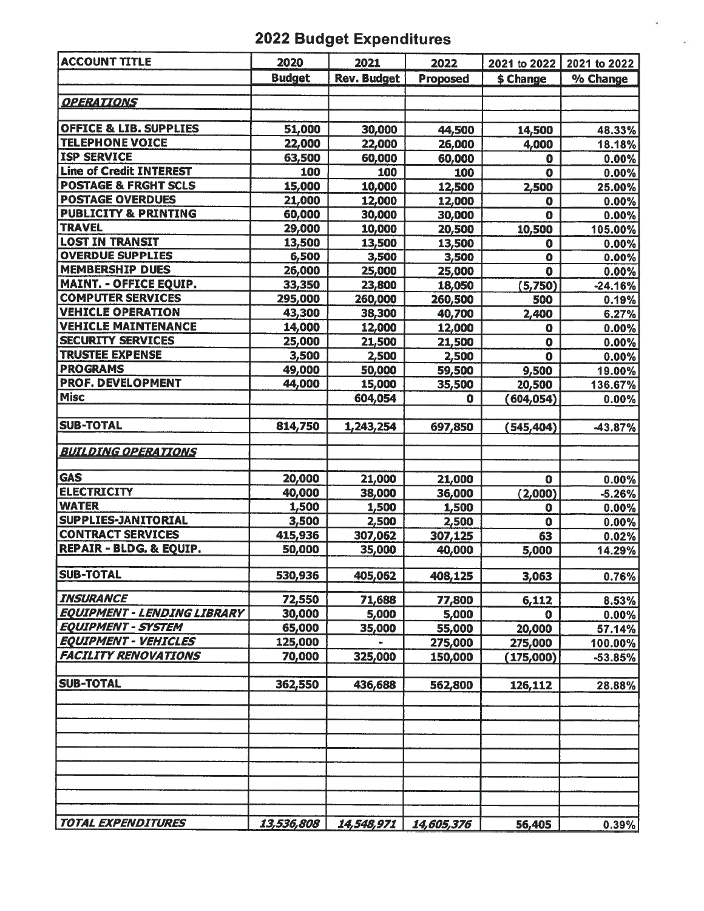# 2022 Budget Expenditures

i,

| <b>ACCOUNT TITLE</b>               | 2020          | 2021               | 2022             | 2021 to 2022            | 2021 to 2022      |
|------------------------------------|---------------|--------------------|------------------|-------------------------|-------------------|
|                                    | <b>Budget</b> | <b>Rev. Budget</b> | <b>Proposed</b>  | \$ Change               | % Change          |
|                                    |               |                    |                  |                         |                   |
| <b>OPERATIONS</b>                  |               |                    |                  |                         |                   |
| <b>OFFICE &amp; LIB. SUPPLIES</b>  |               |                    |                  |                         |                   |
| <b>TELEPHONE VOICE</b>             | 51,000        | 30,000             | 44,500           | 14,500                  | 48.33%            |
| <b>ISP SERVICE</b>                 | 22,000        | 22,000             | 26,000           | 4,000                   | 18.18%            |
| <b>Line of Credit INTEREST</b>     | 63,500<br>100 | 60,000<br>100      | 60,000           | $\mathbf 0$             | $0.00\%$          |
| <b>POSTAGE &amp; FRGHT SCLS</b>    | 15,000        |                    | 100              | $\mathbf 0$             | 0.00%             |
| <b>POSTAGE OVERDUES</b>            | 21,000        | 10,000             | 12,500           | 2,500                   | 25.00%            |
| <b>PUBLICITY &amp; PRINTING</b>    | 60,000        | 12,000<br>30,000   | 12,000<br>30,000 | $\bf{0}$<br>$\mathbf 0$ | 0.00%<br>$0.00\%$ |
| <b>TRAVEL</b>                      | 29,000        | 10,000             | 20,500           | 10,500                  | 105.00%           |
| <b>LOST IN TRANSIT</b>             | 13,500        | 13,500             | 13,500           | 0                       | $0.00\%$          |
| <b>OVERDUE SUPPLIES</b>            | 6,500         | 3,500              | 3,500            | $\mathbf 0$             | 0.00%             |
| <b>MEMBERSHIP DUES</b>             | 26,000        | 25,000             | 25,000           | $\mathbf 0$             | 0.00%             |
| <b>MAINT. - OFFICE EQUIP.</b>      | 33,350        | 23,800             | 18,050           | (5,750)                 | $-24.16%$         |
| <b>COMPUTER SERVICES</b>           | 295,000       | 260,000            | 260,500          | 500                     | 0.19%             |
| <b>VEHICLE OPERATION</b>           | 43,300        | 38,300             | 40,700           | 2,400                   | 6.27%             |
| <b>VEHICLE MAINTENANCE</b>         | 14,000        | 12,000             | 12,000           | $\mathbf 0$             | 0.00%             |
| <b>SECURITY SERVICES</b>           | 25,000        | 21,500             | 21,500           | $\mathbf 0$             | 0.00%             |
| <b>TRUSTEE EXPENSE</b>             | 3,500         | 2,500              | 2,500            | $\mathbf o$             | 0.00%             |
| <b>PROGRAMS</b>                    | 49,000        | 50,000             | 59,500           | 9,500                   | 19.00%            |
| <b>PROF. DEVELOPMENT</b>           | 44,000        | 15,000             | 35,500           | 20,500                  | 136.67%           |
| <b>Misc</b>                        |               | 604,054            | $\mathbf 0$      | (604, 054)              | $0.00\%$          |
|                                    |               |                    |                  |                         |                   |
| <b>SUB-TOTAL</b>                   | 814,750       | 1,243,254          | 697,850          | (545, 404)              | -43.87%           |
| <b>BUILDING OPERATIONS</b>         |               |                    |                  |                         |                   |
| <b>GAS</b>                         | 20,000        |                    |                  |                         |                   |
| <b>ELECTRICITY</b>                 | 40,000        | 21,000             | 21,000           | 0                       | 0.00%             |
| <b>WATER</b>                       | 1,500         | 38,000<br>1,500    | 36,000<br>1,500  | (2,000)<br>$\mathbf 0$  | $-5.26%$          |
| SUPPLIES-JANITORIAL                | 3,500         | 2,500              | 2,500            | O                       | 0.00%<br>0.00%    |
| <b>CONTRACT SERVICES</b>           | 415,936       | 307,062            | 307,125          | 63                      | 0.02%             |
| <b>REPAIR - BLDG. &amp; EQUIP.</b> | 50,000        | 35,000             | 40,000           | 5,000                   | 14.29%            |
|                                    |               |                    |                  |                         |                   |
| <b>SUB-TOTAL</b>                   | 530,936       | 405,062            | 408,125          | 3,063                   | 0.76%             |
| <b>INSURANCE</b>                   | 72,550        | 71,688             | 77,800           | 6,112                   | 8.53%             |
| <b>EQUIPMENT - LENDING LIBRARY</b> | 30,000        | 5,000              | 5,000            | 0                       | 0.00%             |
| <b>EQUIPMENT - SYSTEM</b>          | 65,000        | 35,000             | 55,000           | 20,000                  | 57.14%            |
| <b>EQUIPMENT - VEHICLES</b>        | 125,000       |                    | 275,000          | 275,000                 | 100.00%           |
| <b>FACILITY RENOVATIONS</b>        | 70,000        | 325,000            | 150,000          | (175,000)               | $-53.85%$         |
| <b>SUB-TOTAL</b>                   | 362,550       | 436,688            | 562,800          | 126,112                 | 28.88%            |
|                                    |               |                    |                  |                         |                   |
|                                    |               |                    |                  |                         |                   |
|                                    |               |                    |                  |                         |                   |
|                                    |               |                    |                  |                         |                   |
|                                    |               |                    |                  |                         |                   |
| <b>TOTAL EXPENDITURES</b>          | 13,536,808    | 14,548,971         | 14,605,376       | 56,405                  | 0.39%             |